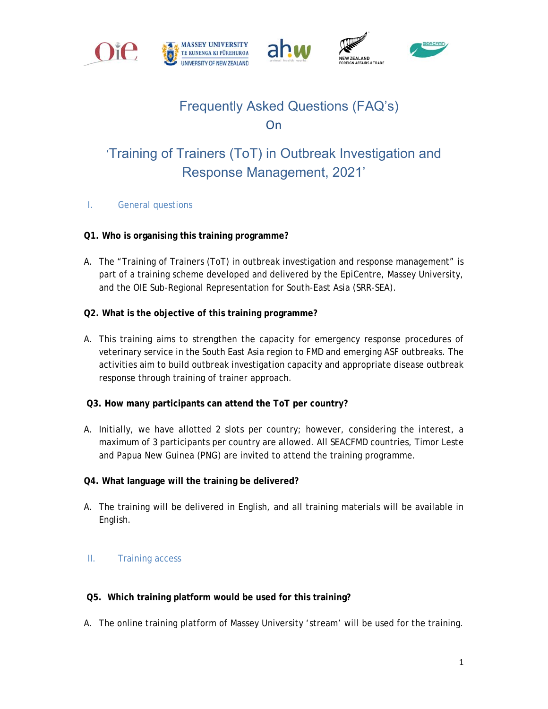







# Frequently Asked Questions (FAQ's) **On**

# 'Training of Trainers (ToT) in Outbreak Investigation and Response Management, 2021'

I. General questions

# **Q1. Who is organising this training programme?**

- A. The "Training of Trainers (ToT) in outbreak investigation and response management" is part of a training scheme developed and delivered by the EpiCentre, Massey University, and the OIE Sub-Regional Representation for South-East Asia (SRR-SEA).
- **Q2. What is the objective of this training programme?**
- A. This training aims to strengthen the capacity for emergency response procedures of veterinary service in the South East Asia region to FMD and emerging ASF outbreaks. The activities aim to build outbreak investigation capacity and appropriate disease outbreak response through training of trainer approach.
- **Q3. How many participants can attend the ToT per country?**
- A. Initially, we have allotted 2 slots per country; however, considering the interest, a maximum of 3 participants per country are allowed. All SEACFMD countries, Timor Leste and Papua New Guinea (PNG) are invited to attend the training programme.
- **Q4. What language will the training be delivered?**
- A. The training will be delivered in English, and all training materials will be available in English.

# II. Training access

# **Q5. Which training platform would be used for this training?**

A. The online training platform of Massey University 'stream' will be used for the training.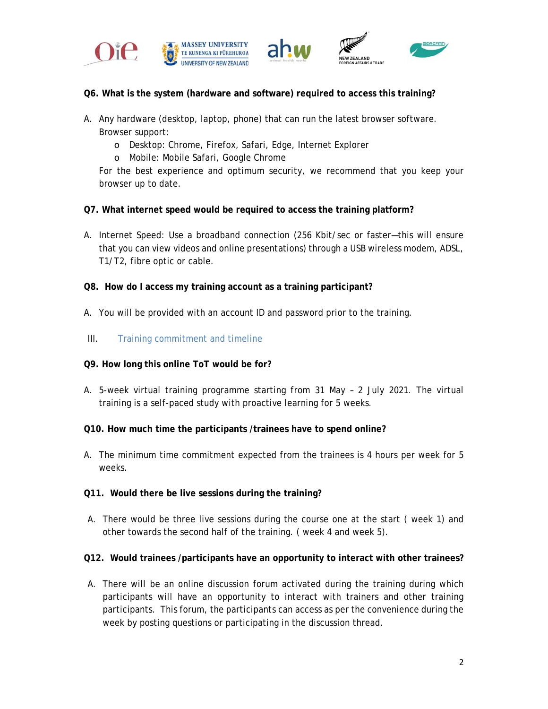







- **Q6. What is the system (hardware and software) required to access this training?**
- A. Any hardware (desktop, laptop, phone) that can run the latest browser software. Browser support:
	- o Desktop: Chrome, Firefox, Safari, Edge, Internet Explorer
	- o Mobile: Mobile Safari, Google Chrome

For the best experience and optimum security, we recommend that you keep your browser up to date.

- **Q7. What internet speed would be required to access the training platform?**
- A. Internet Speed: Use a broadband connection (256 Kbit/sec or faster—this will ensure that you can view videos and online presentations) through a USB wireless modem, ADSL, T1/T2, fibre optic or cable.
- **Q8. How do I access my training account as a training participant?**
- A. You will be provided with an account ID and password prior to the training.
- III. Training commitment and timeline
- **Q9. How long this online ToT would be for?**
- A. 5-week virtual training programme starting from 31 May 2 July 2021. The virtual training is a self-paced study with proactive learning for 5 weeks.
- **Q10. How much time the participants /trainees have to spend online?**
- A. The minimum time commitment expected from the trainees is 4 hours per week for 5 weeks.
- **Q11. Would there be live sessions during the training?**
- A. There would be three live sessions during the course one at the start ( week 1) and other towards the second half of the training. ( week 4 and week 5).

#### **Q12. Would trainees /participants have an opportunity to interact with other trainees?**

A. There will be an online discussion forum activated during the training during which participants will have an opportunity to interact with trainers and other training participants. This forum, the participants can access as per the convenience during the week by posting questions or participating in the discussion thread.